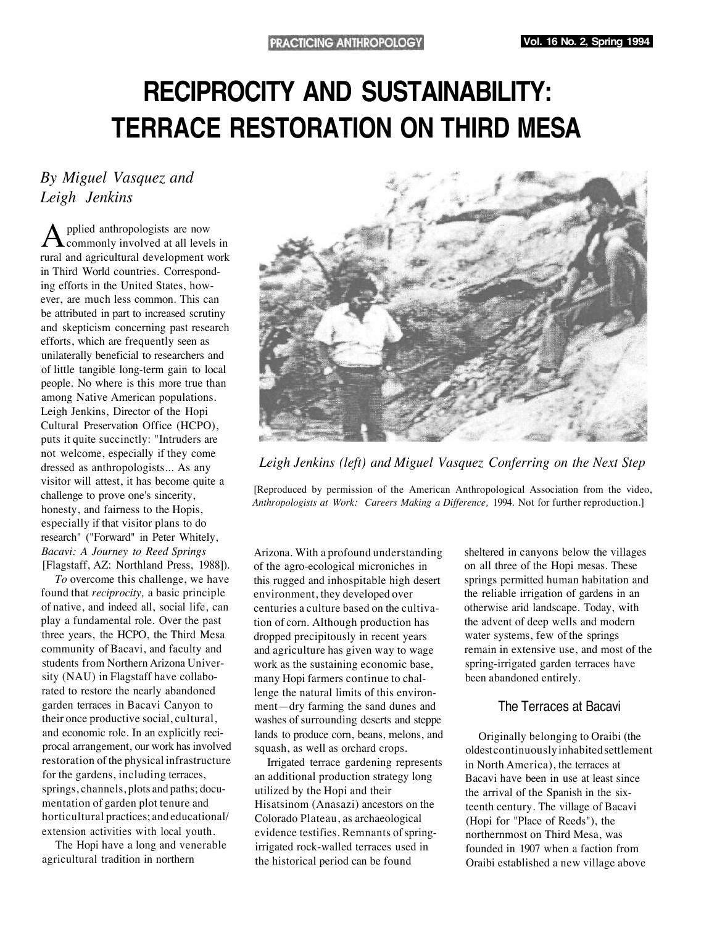# **RECIPROCITY AND SUSTAINABILITY: TERRACE RESTORATION ON THIRD MESA**

# *By Miguel Vasquez and Leigh Jenkins*

pplied anthropologists are now **L** commonly involved at all levels in rural and agricultural development work in Third World countries. Corresponding efforts in the United States, however, are much less common. This can be attributed in part to increased scrutiny and skepticism concerning past research efforts, which are frequently seen as unilaterally beneficial to researchers and of little tangible long-term gain to local people. No where is this more true than among Native American populations. Leigh Jenkins, Director of the Hopi Cultural Preservation Office (HCPO), puts it quite succinctly: "Intruders are not welcome, especially if they come dressed as anthropologists... As any visitor will attest, it has become quite a challenge to prove one's sincerity, honesty, and fairness to the Hopis, especially if that visitor plans to do research" ("Forward" in Peter Whitely, *Bacavi: A Journey to Reed Springs* [Flagstaff, AZ: Northland Press, 1988]).

*To* overcome this challenge, we have found that *reciprocity,* a basic principle of native, and indeed all, social life, can play a fundamental role. Over the past three years, the HCPO, the Third Mesa community of Bacavi, and faculty and students from Northern Arizona University (NAU) in Flagstaff have collaborated to restore the nearly abandoned garden terraces in Bacavi Canyon to their once productive social, cultural, and economic role. In an explicitly reciprocal arrangement, our work has involved restoration of the physical infrastructure for the gardens, including terraces, springs, channels, plots and paths; documentation of garden plot tenure and horticultural practices; and educational/ extension activities with local youth.

The Hopi have a long and venerable agricultural tradition in northern



*Leigh Jenkins (left) and Miguel Vasquez Conferring on the Next Step*

[Reproduced by permission of the American Anthropological Association from the video, *Anthropologists at Work: Careers Making a Difference,* 1994. Not for further reproduction.]

Arizona. With a profound understanding of the agro-ecological microniches in this rugged and inhospitable high desert environment, they developed over centuries a culture based on the cultivation of corn. Although production has dropped precipitously in recent years and agriculture has given way to wage work as the sustaining economic base, many Hopi farmers continue to challenge the natural limits of this environment—dry farming the sand dunes and washes of surrounding deserts and steppe lands to produce corn, beans, melons, and squash, as well as orchard crops.

Irrigated terrace gardening represents an additional production strategy long utilized by the Hopi and their Hisatsinom (Anasazi) ancestors on the Colorado Plateau, as archaeological evidence testifies. Remnants of springirrigated rock-walled terraces used in the historical period can be found

sheltered in canyons below the villages on all three of the Hopi mesas. These springs permitted human habitation and the reliable irrigation of gardens in an otherwise arid landscape. Today, with the advent of deep wells and modern water systems, few of the springs remain in extensive use, and most of the spring-irrigated garden terraces have been abandoned entirely.

# The Terraces at Bacavi

Originally belonging to Oraibi (the oldest continuously inhabited settlement in North America), the terraces at Bacavi have been in use at least since the arrival of the Spanish in the sixteenth century. The village of Bacavi (Hopi for "Place of Reeds"), the northernmost on Third Mesa, was founded in 1907 when a faction from Oraibi established a new village above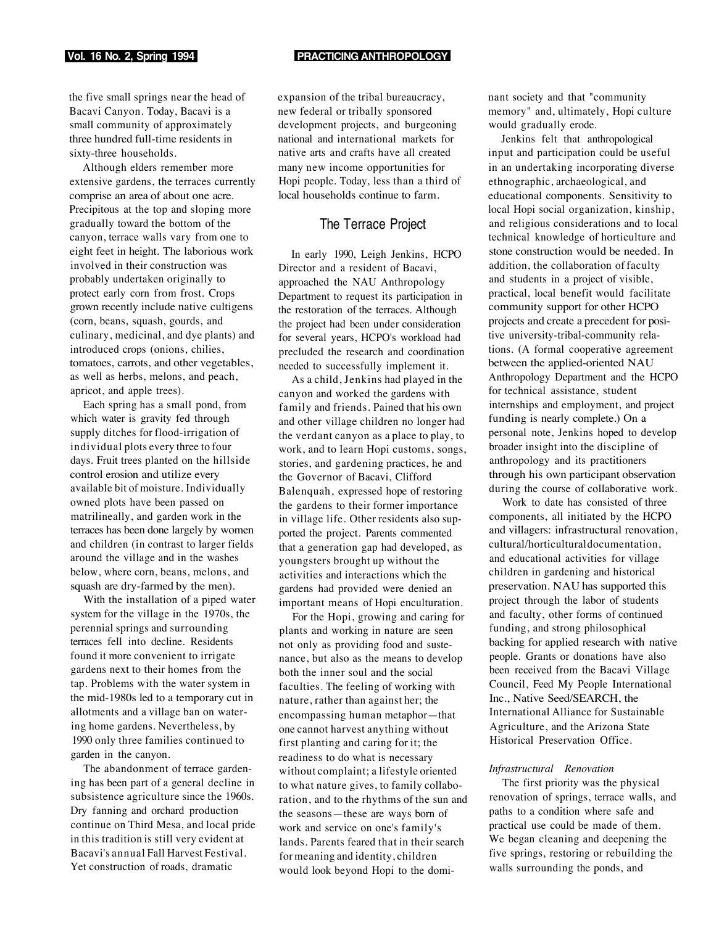#### **Vol. 16 No. 2, Spring 1994 PRACTICING ANTHROPOLOGY**

the five small springs near the head of Bacavi Canyon. Today, Bacavi is a small community of approximately three hundred full-time residents in sixty-three households.

Although elders remember more extensive gardens, the terraces currently comprise an area of about one acre. Precipitous at the top and sloping more gradually toward the bottom of the canyon, terrace walls vary from one to eight feet in height. The laborious work involved in their construction was probably undertaken originally to protect early corn from frost. Crops grown recently include native cultigens (corn, beans, squash, gourds, and culinary, medicinal, and dye plants) and introduced crops (onions, chilies, tomatoes, carrots, and other vegetables, as well as herbs, melons, and peach, apricot, and apple trees).

Each spring has a small pond, from which water is gravity fed through supply ditches for flood-irrigation of individual plots every three to four days. Fruit trees planted on the hillside control erosion and utilize every available bit of moisture. Individually owned plots have been passed on matrilineally, and garden work in the terraces has been done largely by women and children (in contrast to larger fields around the village and in the washes below, where corn, beans, melons, and squash are dry-farmed by the men).

With the installation of a piped water system for the village in the 1970s, the perennial springs and surrounding terraces fell into decline. Residents found it more convenient to irrigate gardens next to their homes from the tap. Problems with the water system in the mid-1980s led to a temporary cut in allotments and a village ban on watering home gardens. Nevertheless, by 1990 only three families continued to garden in the canyon.

The abandonment of terrace gardening has been part of a general decline in subsistence agriculture since the 1960s. Dry fanning and orchard production continue on Third Mesa, and local pride in this tradition is still very evident at Bacavi's annual Fall Harvest Festival. Yet construction of roads, dramatic

expansion of the tribal bureaucracy, new federal or tribally sponsored development projects, and burgeoning national and international markets for native arts and crafts have all created many new income opportunities for Hopi people. Today, less than a third of local households continue to farm.

## The Terrace Project

In early 1990, Leigh Jenkins, HCPO Director and a resident of Bacavi, approached the NAU Anthropology Department to request its participation in the restoration of the terraces. Although the project had been under consideration for several years, HCPO's workload had precluded the research and coordination needed to successfully implement it.

As a child, Jenkins had played in the canyon and worked the gardens with family and friends. Pained that his own and other village children no longer had the verdant canyon as a place to play, to work, and to learn Hopi customs, songs, stories, and gardening practices, he and the Governor of Bacavi, Clifford Balenquah, expressed hope of restoring the gardens to their former importance in village life. Other residents also supported the project. Parents commented that a generation gap had developed, as youngsters brought up without the activities and interactions which the gardens had provided were denied an important means of Hopi enculturation.

For the Hopi, growing and caring for plants and working in nature are seen not only as providing food and sustenance, but also as the means to develop both the inner soul and the social faculties. The feeling of working with nature, rather than against her; the encompassing human metaphor—that one cannot harvest anything without first planting and caring for it; the readiness to do what is necessary without complaint; a lifestyle oriented to what nature gives, to family collaboration, and to the rhythms of the sun and the seasons—these are ways born of work and service on one's family's lands. Parents feared that in their search for meaning and identity, children would look beyond Hopi to the dominant society and that "community memory" and, ultimately, Hopi culture would gradually erode.

Jenkins felt that anthropological input and participation could be useful in an undertaking incorporating diverse ethnographic, archaeological, and educational components. Sensitivity to local Hopi social organization, kinship, and religious considerations and to local technical knowledge of horticulture and stone construction would be needed. In addition, the collaboration of faculty and students in a project of visible, practical, local benefit would facilitate community support for other HCPO projects and create a precedent for positive university-tribal-community relations. (A formal cooperative agreement between the applied-oriented NAU Anthropology Department and the HCPO for technical assistance, student internships and employment, and project funding is nearly complete.) On a personal note, Jenkins hoped to develop broader insight into the discipline of anthropology and its practitioners through his own participant observation during the course of collaborative work.

Work to date has consisted of three components, all initiated by the HCPO and villagers: infrastructural renovation, cultural/horticultural documentation, and educational activities for village children in gardening and historical preservation. NAU has supported this project through the labor of students and faculty, other forms of continued funding, and strong philosophical backing for applied research with native people. Grants or donations have also been received from the Bacavi Village Council, Feed My People International Inc., Native Seed/SEARCH, the International Alliance for Sustainable Agriculture, and the Arizona State Historical Preservation Office.

#### *Infrastructural Renovation*

The first priority was the physical renovation of springs, terrace walls, and paths to a condition where safe and practical use could be made of them. We began cleaning and deepening the five springs, restoring or rebuilding the walls surrounding the ponds, and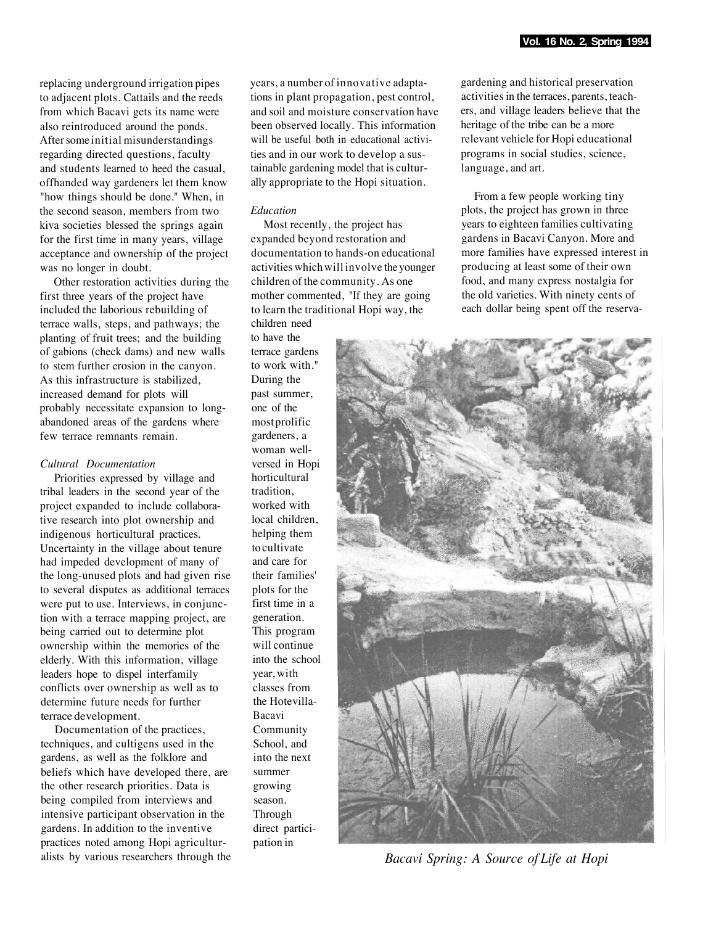replacing underground irrigation pipes to adjacent plots. Cattails and the reeds from which Bacavi gets its name were also reintroduced around the ponds. After some initial misunderstandings regarding directed questions, faculty and students learned to heed the casual, offhanded way gardeners let them know "how things should be done." When, in the second season, members from two kiva societies blessed the springs again for the first time in many years, village acceptance and ownership of the project was no longer in doubt.

Other restoration activities during the first three years of the project have included the laborious rebuilding of terrace walls, steps, and pathways; the planting of fruit trees; and the building of gabions (check dams) and new walls to stem further erosion in the canyon. As this infrastructure is stabilized, increased demand for plots will probably necessitate expansion to longabandoned areas of the gardens where few terrace remnants remain.

### *Cultural Documentation*

Priorities expressed by village and tribal leaders in the second year of the project expanded to include collaborative research into plot ownership and indigenous horticultural practices. Uncertainty in the village about tenure had impeded development of many of the long-unused plots and had given rise to several disputes as additional terraces were put to use. Interviews, in conjunction with a terrace mapping project, are being carried out to determine plot ownership within the memories of the elderly. With this information, village leaders hope to dispel interfamily conflicts over ownership as well as to determine future needs for further terrace development.

Documentation of the practices, techniques, and cultigens used in the gardens, as well as the folklore and beliefs which have developed there, are the other research priorities. Data is being compiled from interviews and intensive participant observation in the gardens. In addition to the inventive practices noted among Hopi agriculturalists by various researchers through the years, a number of innovative adaptations in plant propagation, pest control, and soil and moisture conservation have been observed locally. This information will be useful both in educational activities and in our work to develop a sustainable gardening model that is culturally appropriate to the Hopi situation.

#### *Education*

Most recently, the project has expanded beyond restoration and documentation to hands-on educational activities which will involve the younger children of the community. As one mother commented, "If they are going to learn the traditional Hopi way, the children need

to have the terrace gardens to work with." During the past summer, one of the most prolific gardeners, a woman wellversed in Hopi horticultural tradition, worked with local children, helping them to cultivate and care for their families' plots for the first time in a generation. This program will continue into the school year, with classes from the Hotevilla-Bacavi Community School, and into the next summer growing season. Through direct participation in

gardening and historical preservation activities in the terraces, parents, teachers, and village leaders believe that the heritage of the tribe can be a more relevant vehicle for Hopi educational programs in social studies, science, language, and art.

From a few people working tiny plots, the project has grown in three years to eighteen families cultivating gardens in Bacavi Canyon. More and more families have expressed interest in producing at least some of their own food, and many express nostalgia for the old varieties. With ninety cents of each dollar being spent off the reserva-



*Bacavi Spring: A Source of Life at Hopi*